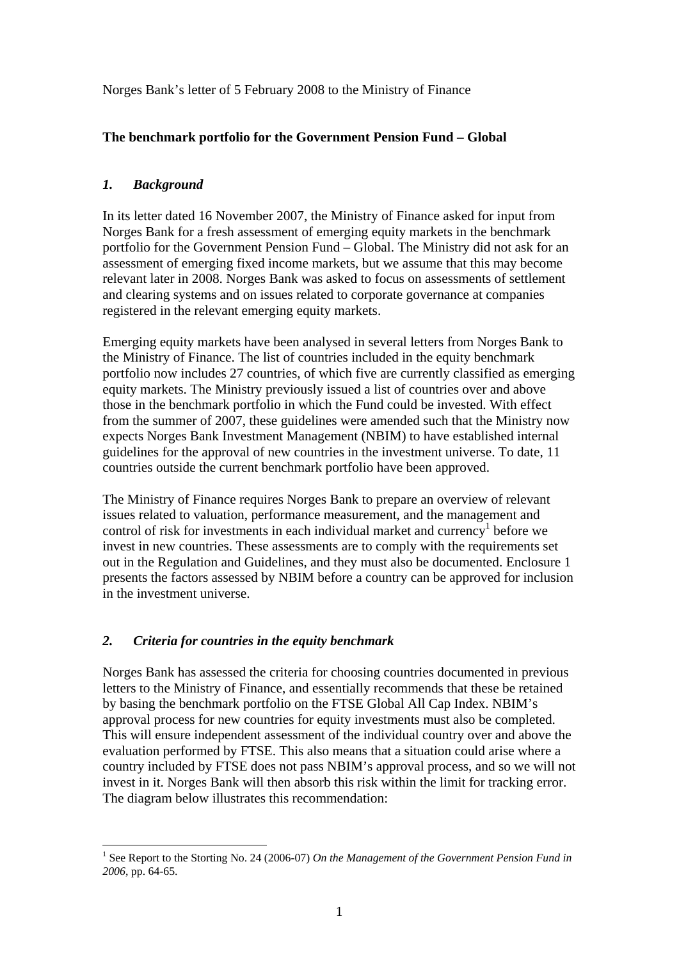Norges Bank's letter of 5 February 2008 to the Ministry of Finance

# **The benchmark portfolio for the Government Pension Fund – Global**

# *1. Background*

In its letter dated 16 November 2007, the Ministry of Finance asked for input from Norges Bank for a fresh assessment of emerging equity markets in the benchmark portfolio for the Government Pension Fund – Global. The Ministry did not ask for an assessment of emerging fixed income markets, but we assume that this may become relevant later in 2008. Norges Bank was asked to focus on assessments of settlement and clearing systems and on issues related to corporate governance at companies registered in the relevant emerging equity markets.

Emerging equity markets have been analysed in several letters from Norges Bank to the Ministry of Finance. The list of countries included in the equity benchmark portfolio now includes 27 countries, of which five are currently classified as emerging equity markets. The Ministry previously issued a list of countries over and above those in the benchmark portfolio in which the Fund could be invested. With effect from the summer of 2007, these guidelines were amended such that the Ministry now expects Norges Bank Investment Management (NBIM) to have established internal guidelines for the approval of new countries in the investment universe. To date, 11 countries outside the current benchmark portfolio have been approved.

The Ministry of Finance requires Norges Bank to prepare an overview of relevant issues related to valuation, performance measurement, and the management and control of risk for investments in each individual market and currency<sup>1</sup> before we invest in new countries. These assessments are to comply with the requirements set out in the Regulation and Guidelines, and they must also be documented. Enclosure 1 presents the factors assessed by NBIM before a country can be approved for inclusion in the investment universe.

# *2. Criteria for countries in the equity benchmark*

Norges Bank has assessed the criteria for choosing countries documented in previous letters to the Ministry of Finance, and essentially recommends that these be retained by basing the benchmark portfolio on the FTSE Global All Cap Index. NBIM's approval process for new countries for equity investments must also be completed. This will ensure independent assessment of the individual country over and above the evaluation performed by FTSE. This also means that a situation could arise where a country included by FTSE does not pass NBIM's approval process, and so we will not invest in it. Norges Bank will then absorb this risk within the limit for tracking error. The diagram below illustrates this recommendation:

<sup>&</sup>lt;u>.</u> <sup>1</sup> See Report to the Storting No. 24 (2006-07) *On the Management of the Government Pension Fund in 2006*, pp. 64-65.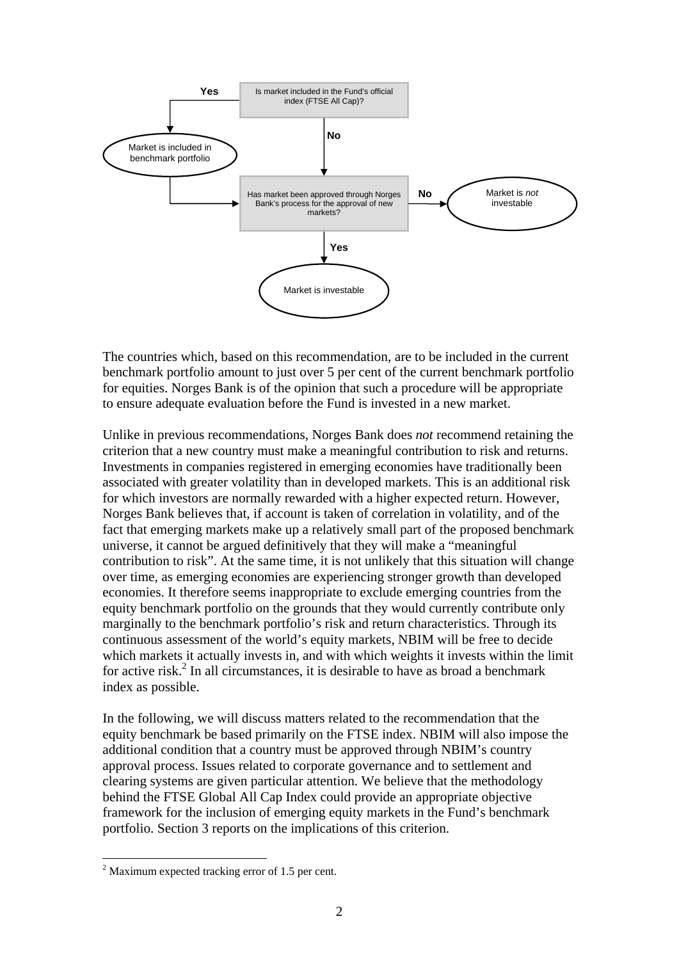

The countries which, based on this recommendation, are to be included in the current benchmark portfolio amount to just over 5 per cent of the current benchmark portfolio for equities. Norges Bank is of the opinion that such a procedure will be appropriate to ensure adequate evaluation before the Fund is invested in a new market.

Unlike in previous recommendations, Norges Bank does *not* recommend retaining the criterion that a new country must make a meaningful contribution to risk and returns. Investments in companies registered in emerging economies have traditionally been associated with greater volatility than in developed markets. This is an additional risk for which investors are normally rewarded with a higher expected return. However, Norges Bank believes that, if account is taken of correlation in volatility, and of the fact that emerging markets make up a relatively small part of the proposed benchmark universe, it cannot be argued definitively that they will make a "meaningful contribution to risk". At the same time, it is not unlikely that this situation will change over time, as emerging economies are experiencing stronger growth than developed economies. It therefore seems inappropriate to exclude emerging countries from the equity benchmark portfolio on the grounds that they would currently contribute only marginally to the benchmark portfolio's risk and return characteristics. Through its continuous assessment of the world's equity markets, NBIM will be free to decide which markets it actually invests in, and with which weights it invests within the limit for active risk.<sup>2</sup> In all circumstances, it is desirable to have as broad a benchmark index as possible.

In the following, we will discuss matters related to the recommendation that the equity benchmark be based primarily on the FTSE index. NBIM will also impose the additional condition that a country must be approved through NBIM's country approval process. Issues related to corporate governance and to settlement and clearing systems are given particular attention. We believe that the methodology behind the FTSE Global All Cap Index could provide an appropriate objective framework for the inclusion of emerging equity markets in the Fund's benchmark portfolio. Section 3 reports on the implications of this criterion.

1

 $2$  Maximum expected tracking error of 1.5 per cent.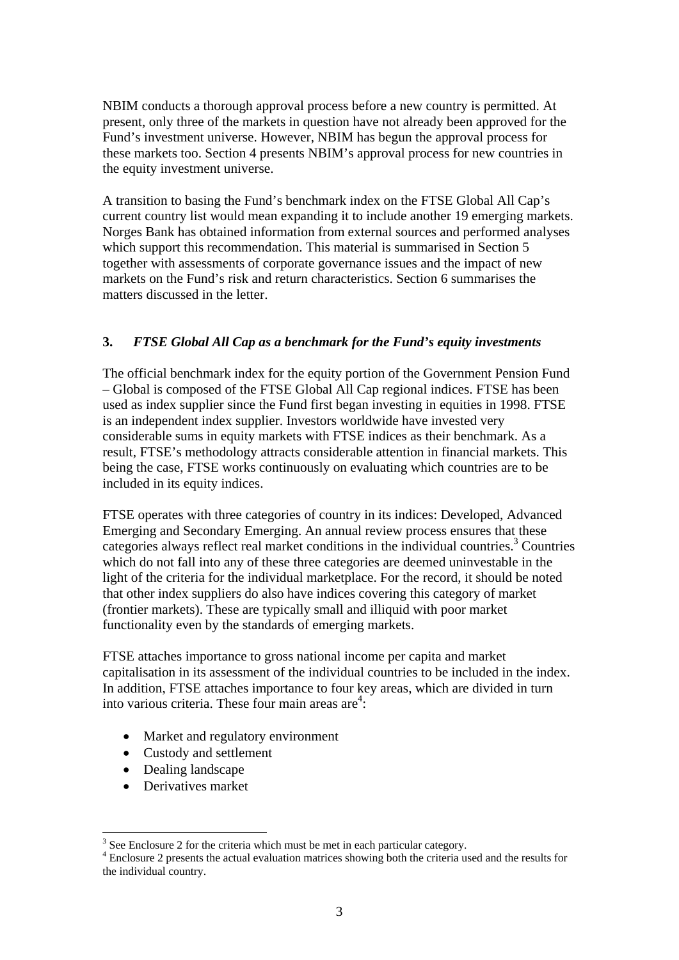NBIM conducts a thorough approval process before a new country is permitted. At present, only three of the markets in question have not already been approved for the Fund's investment universe. However, NBIM has begun the approval process for these markets too. Section 4 presents NBIM's approval process for new countries in the equity investment universe.

A transition to basing the Fund's benchmark index on the FTSE Global All Cap's current country list would mean expanding it to include another 19 emerging markets. Norges Bank has obtained information from external sources and performed analyses which support this recommendation. This material is summarised in Section 5 together with assessments of corporate governance issues and the impact of new markets on the Fund's risk and return characteristics. Section 6 summarises the matters discussed in the letter.

# **3.** *FTSE Global All Cap as a benchmark for the Fund's equity investments*

The official benchmark index for the equity portion of the Government Pension Fund – Global is composed of the FTSE Global All Cap regional indices. FTSE has been used as index supplier since the Fund first began investing in equities in 1998. FTSE is an independent index supplier. Investors worldwide have invested very considerable sums in equity markets with FTSE indices as their benchmark. As a result, FTSE's methodology attracts considerable attention in financial markets. This being the case, FTSE works continuously on evaluating which countries are to be included in its equity indices.

FTSE operates with three categories of country in its indices: Developed, Advanced Emerging and Secondary Emerging. An annual review process ensures that these categories always reflect real market conditions in the individual countries.<sup>3</sup> Countries which do not fall into any of these three categories are deemed uninvestable in the light of the criteria for the individual marketplace. For the record, it should be noted that other index suppliers do also have indices covering this category of market (frontier markets). These are typically small and illiquid with poor market functionality even by the standards of emerging markets.

FTSE attaches importance to gross national income per capita and market capitalisation in its assessment of the individual countries to be included in the index. In addition, FTSE attaches importance to four key areas, which are divided in turn into various criteria. These four main areas are $4$ :

- Market and regulatory environment
- Custody and settlement
- Dealing landscape
- Derivatives market

1

 $3$  See Enclosure 2 for the criteria which must be met in each particular category.

Enclosure 2 presents the actual evaluation matrices showing both the criteria used and the results for the individual country.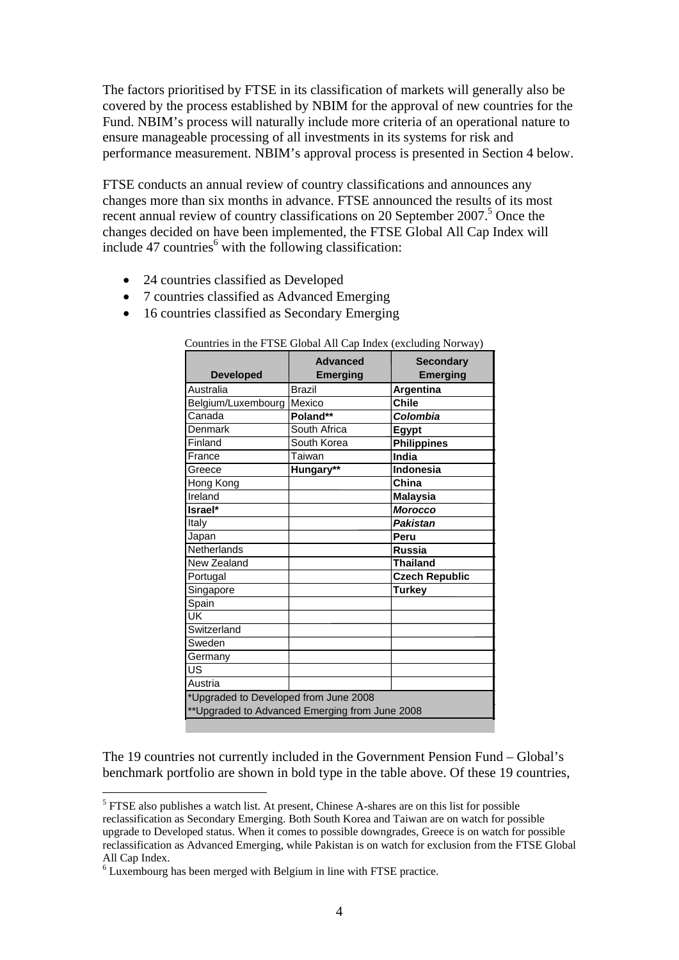The factors prioritised by FTSE in its classification of markets will generally also be covered by the process established by NBIM for the approval of new countries for the Fund. NBIM's process will naturally include more criteria of an operational nature to ensure manageable processing of all investments in its systems for risk and performance measurement. NBIM's approval process is presented in Section 4 below.

FTSE conducts an annual review of country classifications and announces any changes more than six months in advance. FTSE announced the results of its most recent annual review of country classifications on 20 September 2007.<sup>5</sup> Once the changes decided on have been implemented, the FTSE Global All Cap Index will include 47 countries<sup>6</sup> with the following classification:

- 24 countries classified as Developed
- 7 countries classified as Advanced Emerging
- 16 countries classified as Secondary Emerging

| <b>Developed</b>                                                                         | <b>Advanced</b><br><b>Emerging</b> | <b>Secondary</b><br><b>Emerging</b> |
|------------------------------------------------------------------------------------------|------------------------------------|-------------------------------------|
| Australia                                                                                | Brazil                             | Argentina                           |
| Belgium/Luxembourg                                                                       | Mexico                             | $\overline{\text{C}}$ hile          |
| Canada                                                                                   | Poland**                           | Colombia                            |
| Denmark                                                                                  | South Africa                       | <b>Egypt</b>                        |
| Finland                                                                                  | South Korea                        | <b>Philippines</b>                  |
| France                                                                                   | Taiwan                             | India                               |
| Greece                                                                                   | Hungary**                          | Indonesia                           |
| Hong Kong                                                                                |                                    | China                               |
| Ireland                                                                                  |                                    | <b>Malaysia</b>                     |
| Israel*                                                                                  |                                    | <b>Morocco</b>                      |
| Italy                                                                                    |                                    | <b>Pakistan</b>                     |
| Japan                                                                                    |                                    | Peru                                |
| Netherlands                                                                              |                                    | <b>Russia</b>                       |
| New Zealand                                                                              |                                    | <b>Thailand</b>                     |
| Portugal                                                                                 |                                    | <b>Czech Republic</b>               |
| Singapore                                                                                |                                    | <b>Turkey</b>                       |
| Spain                                                                                    |                                    |                                     |
| UK                                                                                       |                                    |                                     |
| Switzerland                                                                              |                                    |                                     |
| Sweden                                                                                   |                                    |                                     |
| Germany                                                                                  |                                    |                                     |
| US                                                                                       |                                    |                                     |
| Austria                                                                                  |                                    |                                     |
| *Upgraded to Developed from June 2008<br>** Upgraded to Advanced Emerging from June 2008 |                                    |                                     |

Countries in the FTSE Global All Cap Index (excluding Norway)

The 19 countries not currently included in the Government Pension Fund – Global's benchmark portfolio are shown in bold type in the table above. Of these 19 countries,

1

<sup>&</sup>lt;sup>5</sup> FTSE also publishes a watch list. At present, Chinese A-shares are on this list for possible reclassification as Secondary Emerging. Both South Korea and Taiwan are on watch for possible upgrade to Developed status. When it comes to possible downgrades, Greece is on watch for possible reclassification as Advanced Emerging, while Pakistan is on watch for exclusion from the FTSE Global All Cap Index.

<sup>&</sup>lt;sup>6</sup> Luxembourg has been merged with Belgium in line with FTSE practice.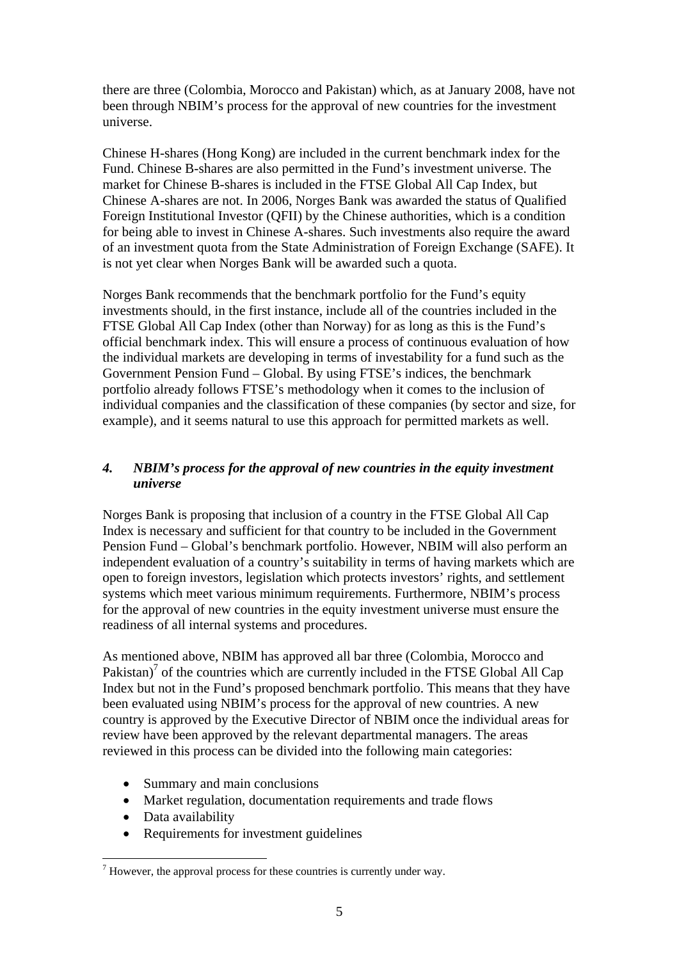there are three (Colombia, Morocco and Pakistan) which, as at January 2008, have not been through NBIM's process for the approval of new countries for the investment universe.

Chinese H-shares (Hong Kong) are included in the current benchmark index for the Fund. Chinese B-shares are also permitted in the Fund's investment universe. The market for Chinese B-shares is included in the FTSE Global All Cap Index, but Chinese A-shares are not. In 2006, Norges Bank was awarded the status of Qualified Foreign Institutional Investor (QFII) by the Chinese authorities, which is a condition for being able to invest in Chinese A-shares. Such investments also require the award of an investment quota from the State Administration of Foreign Exchange (SAFE). It is not yet clear when Norges Bank will be awarded such a quota.

Norges Bank recommends that the benchmark portfolio for the Fund's equity investments should, in the first instance, include all of the countries included in the FTSE Global All Cap Index (other than Norway) for as long as this is the Fund's official benchmark index. This will ensure a process of continuous evaluation of how the individual markets are developing in terms of investability for a fund such as the Government Pension Fund – Global. By using FTSE's indices, the benchmark portfolio already follows FTSE's methodology when it comes to the inclusion of individual companies and the classification of these companies (by sector and size, for example), and it seems natural to use this approach for permitted markets as well.

# *4. NBIM's process for the approval of new countries in the equity investment universe*

Norges Bank is proposing that inclusion of a country in the FTSE Global All Cap Index is necessary and sufficient for that country to be included in the Government Pension Fund – Global's benchmark portfolio. However, NBIM will also perform an independent evaluation of a country's suitability in terms of having markets which are open to foreign investors, legislation which protects investors' rights, and settlement systems which meet various minimum requirements. Furthermore, NBIM's process for the approval of new countries in the equity investment universe must ensure the readiness of all internal systems and procedures.

As mentioned above, NBIM has approved all bar three (Colombia, Morocco and Pakistan)<sup>7</sup> of the countries which are currently included in the FTSE Global All Cap Index but not in the Fund's proposed benchmark portfolio. This means that they have been evaluated using NBIM's process for the approval of new countries. A new country is approved by the Executive Director of NBIM once the individual areas for review have been approved by the relevant departmental managers. The areas reviewed in this process can be divided into the following main categories:

- Summary and main conclusions
- Market regulation, documentation requirements and trade flows
- Data availability

1

• Requirements for investment guidelines

 $<sup>7</sup>$  However, the approval process for these countries is currently under way.</sup>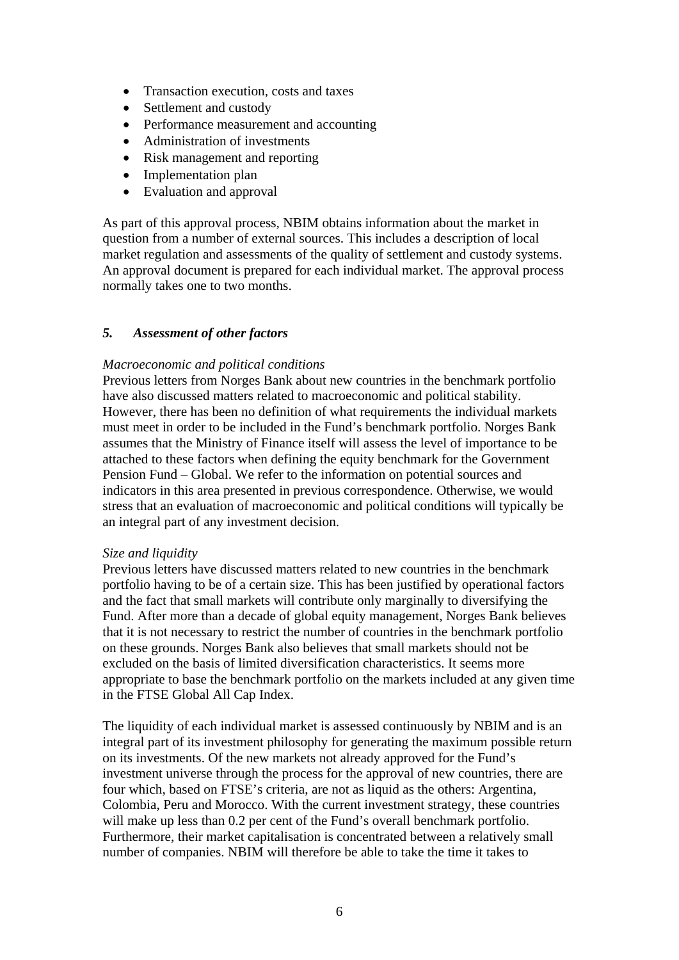- Transaction execution, costs and taxes
- Settlement and custody
- Performance measurement and accounting
- Administration of investments
- Risk management and reporting
- Implementation plan
- Evaluation and approval

As part of this approval process, NBIM obtains information about the market in question from a number of external sources. This includes a description of local market regulation and assessments of the quality of settlement and custody systems. An approval document is prepared for each individual market. The approval process normally takes one to two months.

## *5. Assessment of other factors*

## *Macroeconomic and political conditions*

Previous letters from Norges Bank about new countries in the benchmark portfolio have also discussed matters related to macroeconomic and political stability. However, there has been no definition of what requirements the individual markets must meet in order to be included in the Fund's benchmark portfolio. Norges Bank assumes that the Ministry of Finance itself will assess the level of importance to be attached to these factors when defining the equity benchmark for the Government Pension Fund – Global. We refer to the information on potential sources and indicators in this area presented in previous correspondence. Otherwise, we would stress that an evaluation of macroeconomic and political conditions will typically be an integral part of any investment decision.

## *Size and liquidity*

Previous letters have discussed matters related to new countries in the benchmark portfolio having to be of a certain size. This has been justified by operational factors and the fact that small markets will contribute only marginally to diversifying the Fund. After more than a decade of global equity management, Norges Bank believes that it is not necessary to restrict the number of countries in the benchmark portfolio on these grounds. Norges Bank also believes that small markets should not be excluded on the basis of limited diversification characteristics. It seems more appropriate to base the benchmark portfolio on the markets included at any given time in the FTSE Global All Cap Index.

The liquidity of each individual market is assessed continuously by NBIM and is an integral part of its investment philosophy for generating the maximum possible return on its investments. Of the new markets not already approved for the Fund's investment universe through the process for the approval of new countries, there are four which, based on FTSE's criteria, are not as liquid as the others: Argentina, Colombia, Peru and Morocco. With the current investment strategy, these countries will make up less than 0.2 per cent of the Fund's overall benchmark portfolio. Furthermore, their market capitalisation is concentrated between a relatively small number of companies. NBIM will therefore be able to take the time it takes to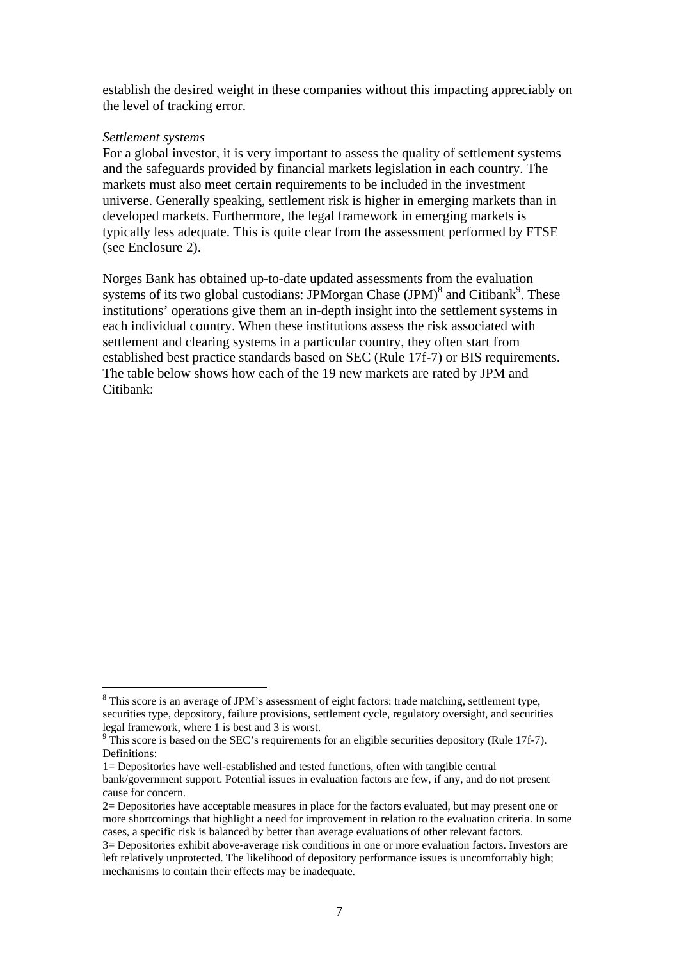establish the desired weight in these companies without this impacting appreciably on the level of tracking error.

#### *Settlement systems*

<u>.</u>

For a global investor, it is very important to assess the quality of settlement systems and the safeguards provided by financial markets legislation in each country. The markets must also meet certain requirements to be included in the investment universe. Generally speaking, settlement risk is higher in emerging markets than in developed markets. Furthermore, the legal framework in emerging markets is typically less adequate. This is quite clear from the assessment performed by FTSE (see Enclosure 2).

Norges Bank has obtained up-to-date updated assessments from the evaluation systems of its two global custodians: JPMorgan Chase  $\text{(JPM)}^8$  and Citibank<sup>9</sup>. These institutions' operations give them an in-depth insight into the settlement systems in each individual country. When these institutions assess the risk associated with settlement and clearing systems in a particular country, they often start from established best practice standards based on SEC (Rule 17f-7) or BIS requirements. The table below shows how each of the 19 new markets are rated by JPM and Citibank:

<sup>&</sup>lt;sup>8</sup> This score is an average of JPM's assessment of eight factors: trade matching, settlement type, securities type, depository, failure provisions, settlement cycle, regulatory oversight, and securities legal framework, where 1 is best and 3 is worst.

 $9$  This score is based on the SEC's requirements for an eligible securities depository (Rule 17f-7). Definitions:

<sup>1=</sup> Depositories have well-established and tested functions, often with tangible central bank/government support. Potential issues in evaluation factors are few, if any, and do not present cause for concern.

<sup>2=</sup> Depositories have acceptable measures in place for the factors evaluated, but may present one or more shortcomings that highlight a need for improvement in relation to the evaluation criteria. In some cases, a specific risk is balanced by better than average evaluations of other relevant factors.

<sup>3=</sup> Depositories exhibit above-average risk conditions in one or more evaluation factors. Investors are left relatively unprotected. The likelihood of depository performance issues is uncomfortably high; mechanisms to contain their effects may be inadequate.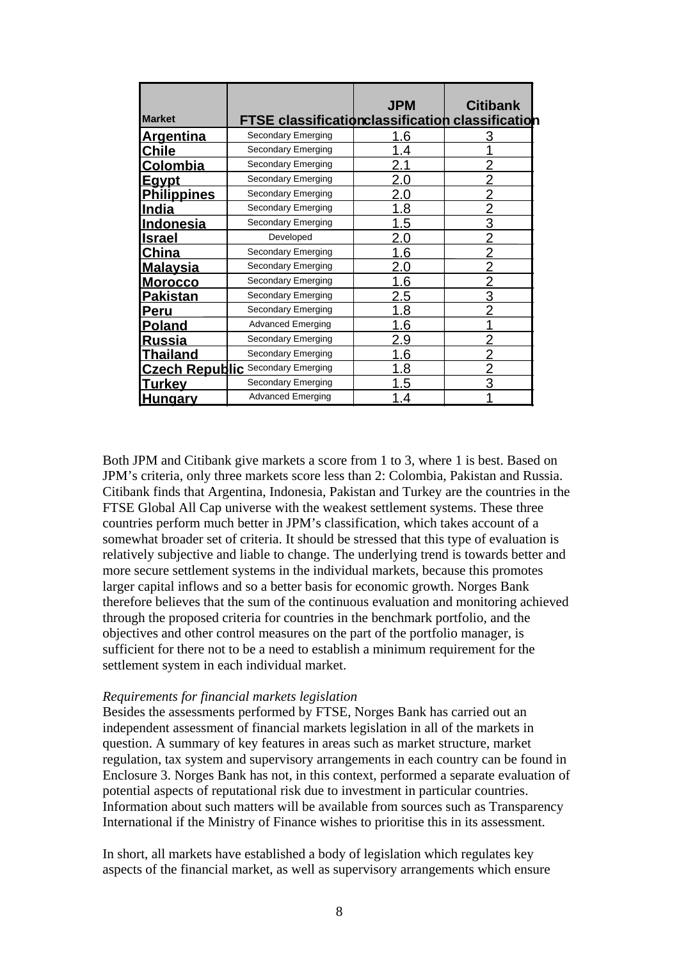| <b>Market</b>      | <b>FTSE classification classification classification</b> | <b>JPM</b> | <b>Citibank</b> |
|--------------------|----------------------------------------------------------|------------|-----------------|
| <u>Argentina</u>   | <b>Secondary Emerging</b>                                | 1.6        | 3               |
| Chile              | Secondary Emerging                                       | 1.4        |                 |
| <u>Colombia</u>    | Secondary Emerging                                       | 2.1        |                 |
| <u>Eavpt</u>       | Secondary Emerging                                       | 2.0        |                 |
| <u>Philippines</u> | <b>Secondary Emerging</b>                                | 2.0        |                 |
| <u>India</u>       | <b>Secondary Emerging</b>                                | 1.8        | $\overline{2}$  |
| <b>Indonesia</b>   | Secondary Emerging                                       | 1.5        | 3               |
| <u>Israel</u>      | Developed                                                | 2.0        |                 |
| China              | Secondary Emerging                                       | 1.6        |                 |
| <u>Malaysia</u>    | Secondary Emerging                                       | 2.0        | $\overline{2}$  |
| <u>Morocco</u>     | <b>Secondary Emerging</b>                                | 1.6        | $\overline{2}$  |
| <b>Pakistan</b>    | Secondary Emerging                                       | 2.5        | 3               |
| <b>Peru</b>        | Secondary Emerging                                       | 1.8        |                 |
| <b>Poland</b>      | Advanced Emerging                                        | 1.6        |                 |
| <u>Russia</u>      | Secondary Emerging                                       | 2.9        |                 |
| <u>Thailand</u>    | <b>Secondary Emerging</b>                                | 1.6        |                 |
|                    | <b>Czech Republic</b> Secondary Emerging                 | 1.8        | $\overline{2}$  |
| <u>Turkey</u>      | Secondary Emerging                                       | 1.5        | 3               |
| <u>Hunqarv</u>     | <b>Advanced Emerging</b>                                 | 1.4        |                 |

Both JPM and Citibank give markets a score from 1 to 3, where 1 is best. Based on JPM's criteria, only three markets score less than 2: Colombia, Pakistan and Russia. Citibank finds that Argentina, Indonesia, Pakistan and Turkey are the countries in the FTSE Global All Cap universe with the weakest settlement systems. These three countries perform much better in JPM's classification, which takes account of a somewhat broader set of criteria. It should be stressed that this type of evaluation is relatively subjective and liable to change. The underlying trend is towards better and more secure settlement systems in the individual markets, because this promotes larger capital inflows and so a better basis for economic growth. Norges Bank therefore believes that the sum of the continuous evaluation and monitoring achieved through the proposed criteria for countries in the benchmark portfolio, and the objectives and other control measures on the part of the portfolio manager, is sufficient for there not to be a need to establish a minimum requirement for the settlement system in each individual market.

### *Requirements for financial markets legislation*

Besides the assessments performed by FTSE, Norges Bank has carried out an independent assessment of financial markets legislation in all of the markets in question. A summary of key features in areas such as market structure, market regulation, tax system and supervisory arrangements in each country can be found in Enclosure 3. Norges Bank has not, in this context, performed a separate evaluation of potential aspects of reputational risk due to investment in particular countries. Information about such matters will be available from sources such as Transparency International if the Ministry of Finance wishes to prioritise this in its assessment.

In short, all markets have established a body of legislation which regulates key aspects of the financial market, as well as supervisory arrangements which ensure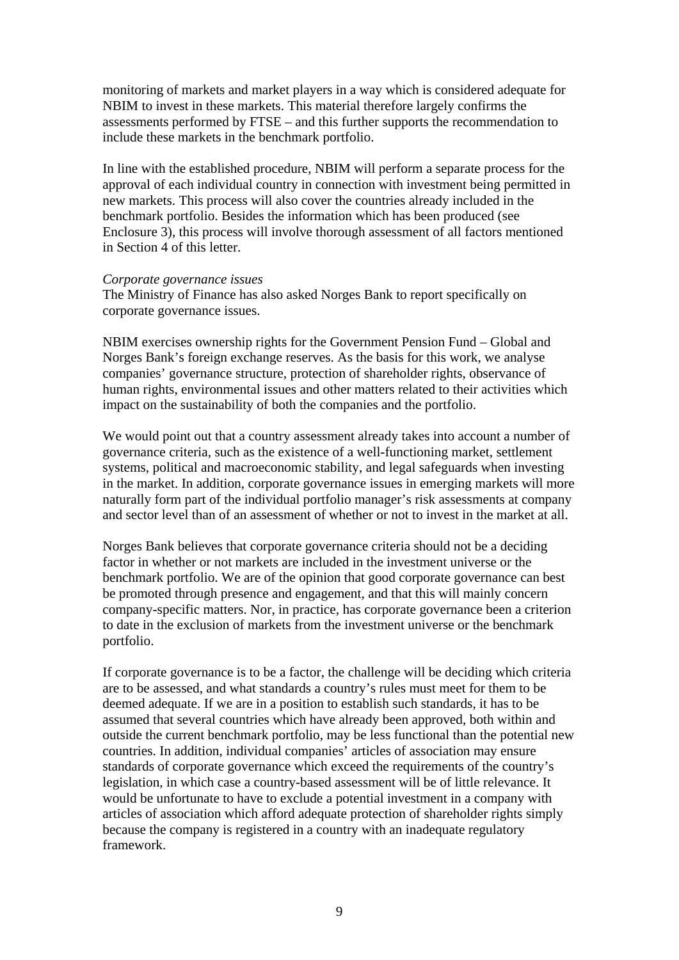monitoring of markets and market players in a way which is considered adequate for NBIM to invest in these markets. This material therefore largely confirms the assessments performed by FTSE – and this further supports the recommendation to include these markets in the benchmark portfolio.

In line with the established procedure, NBIM will perform a separate process for the approval of each individual country in connection with investment being permitted in new markets. This process will also cover the countries already included in the benchmark portfolio. Besides the information which has been produced (see Enclosure 3), this process will involve thorough assessment of all factors mentioned in Section 4 of this letter.

#### *Corporate governance issues*

The Ministry of Finance has also asked Norges Bank to report specifically on corporate governance issues.

NBIM exercises ownership rights for the Government Pension Fund – Global and Norges Bank's foreign exchange reserves. As the basis for this work, we analyse companies' governance structure, protection of shareholder rights, observance of human rights, environmental issues and other matters related to their activities which impact on the sustainability of both the companies and the portfolio.

We would point out that a country assessment already takes into account a number of governance criteria, such as the existence of a well-functioning market, settlement systems, political and macroeconomic stability, and legal safeguards when investing in the market. In addition, corporate governance issues in emerging markets will more naturally form part of the individual portfolio manager's risk assessments at company and sector level than of an assessment of whether or not to invest in the market at all.

Norges Bank believes that corporate governance criteria should not be a deciding factor in whether or not markets are included in the investment universe or the benchmark portfolio. We are of the opinion that good corporate governance can best be promoted through presence and engagement, and that this will mainly concern company-specific matters. Nor, in practice, has corporate governance been a criterion to date in the exclusion of markets from the investment universe or the benchmark portfolio.

If corporate governance is to be a factor, the challenge will be deciding which criteria are to be assessed, and what standards a country's rules must meet for them to be deemed adequate. If we are in a position to establish such standards, it has to be assumed that several countries which have already been approved, both within and outside the current benchmark portfolio, may be less functional than the potential new countries. In addition, individual companies' articles of association may ensure standards of corporate governance which exceed the requirements of the country's legislation, in which case a country-based assessment will be of little relevance. It would be unfortunate to have to exclude a potential investment in a company with articles of association which afford adequate protection of shareholder rights simply because the company is registered in a country with an inadequate regulatory framework.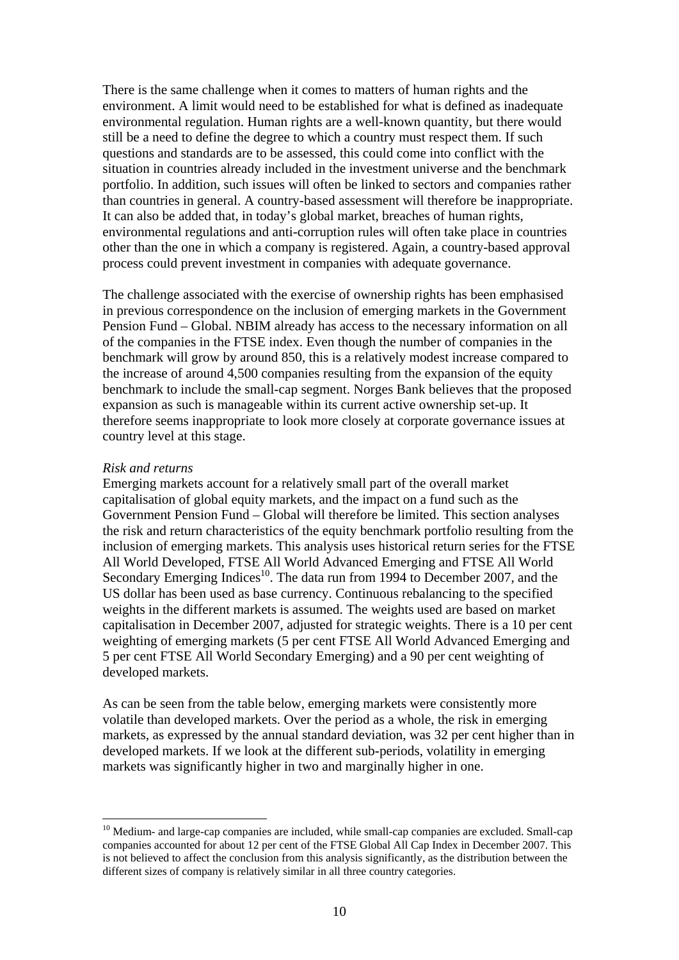There is the same challenge when it comes to matters of human rights and the environment. A limit would need to be established for what is defined as inadequate environmental regulation. Human rights are a well-known quantity, but there would still be a need to define the degree to which a country must respect them. If such questions and standards are to be assessed, this could come into conflict with the situation in countries already included in the investment universe and the benchmark portfolio. In addition, such issues will often be linked to sectors and companies rather than countries in general. A country-based assessment will therefore be inappropriate. It can also be added that, in today's global market, breaches of human rights, environmental regulations and anti-corruption rules will often take place in countries other than the one in which a company is registered. Again, a country-based approval process could prevent investment in companies with adequate governance.

The challenge associated with the exercise of ownership rights has been emphasised in previous correspondence on the inclusion of emerging markets in the Government Pension Fund – Global. NBIM already has access to the necessary information on all of the companies in the FTSE index. Even though the number of companies in the benchmark will grow by around 850, this is a relatively modest increase compared to the increase of around 4,500 companies resulting from the expansion of the equity benchmark to include the small-cap segment. Norges Bank believes that the proposed expansion as such is manageable within its current active ownership set-up. It therefore seems inappropriate to look more closely at corporate governance issues at country level at this stage.

#### *Risk and returns*

1

Emerging markets account for a relatively small part of the overall market capitalisation of global equity markets, and the impact on a fund such as the Government Pension Fund – Global will therefore be limited. This section analyses the risk and return characteristics of the equity benchmark portfolio resulting from the inclusion of emerging markets. This analysis uses historical return series for the FTSE All World Developed, FTSE All World Advanced Emerging and FTSE All World Secondary Emerging Indices<sup>10</sup>. The data run from 1994 to December 2007, and the US dollar has been used as base currency. Continuous rebalancing to the specified weights in the different markets is assumed. The weights used are based on market capitalisation in December 2007, adjusted for strategic weights. There is a 10 per cent weighting of emerging markets (5 per cent FTSE All World Advanced Emerging and 5 per cent FTSE All World Secondary Emerging) and a 90 per cent weighting of developed markets.

As can be seen from the table below, emerging markets were consistently more volatile than developed markets. Over the period as a whole, the risk in emerging markets, as expressed by the annual standard deviation, was 32 per cent higher than in developed markets. If we look at the different sub-periods, volatility in emerging markets was significantly higher in two and marginally higher in one.

 $10$  Medium- and large-cap companies are included, while small-cap companies are excluded. Small-cap companies accounted for about 12 per cent of the FTSE Global All Cap Index in December 2007. This is not believed to affect the conclusion from this analysis significantly, as the distribution between the different sizes of company is relatively similar in all three country categories.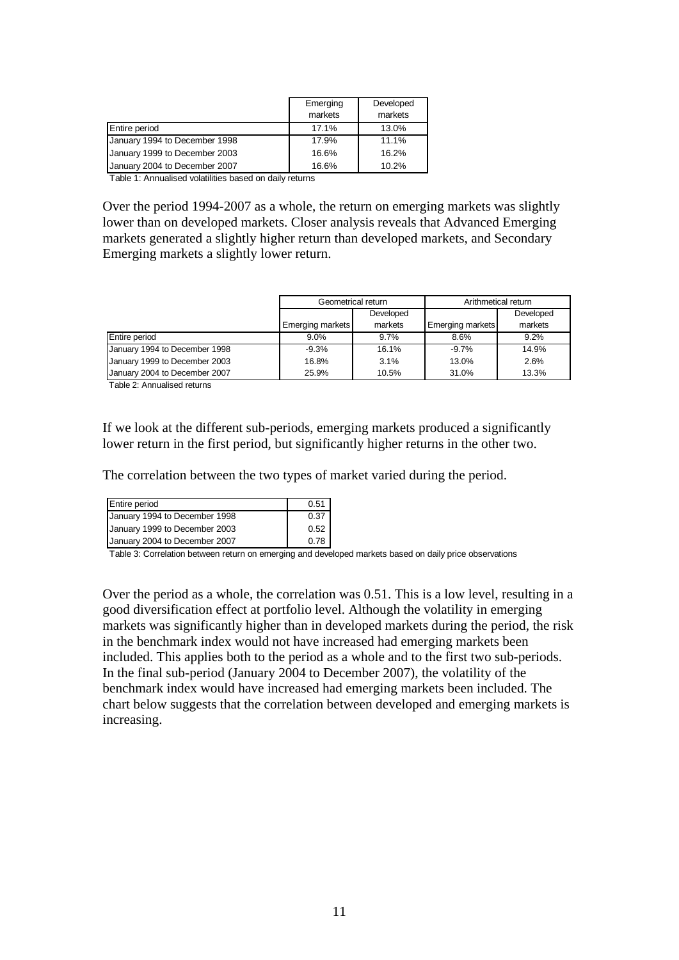|                               | Emerging<br>markets | Developed<br>markets |
|-------------------------------|---------------------|----------------------|
| Entire period                 | 17.1%               | 13.0%                |
| January 1994 to December 1998 | 17.9%               | 11.1%                |
| January 1999 to December 2003 | 16.6%               | 16.2%                |
| January 2004 to December 2007 | 16.6%               | 10.2%                |

Table 1: Annualised volatilities based on daily returns

Over the period 1994-2007 as a whole, the return on emerging markets was slightly lower than on developed markets. Closer analysis reveals that Advanced Emerging markets generated a slightly higher return than developed markets, and Secondary Emerging markets a slightly lower return.

|                               | Geometrical return |           | Arithmetical return |           |
|-------------------------------|--------------------|-----------|---------------------|-----------|
|                               |                    | Developed |                     | Developed |
|                               | Emerging markets   | markets   | Emerging markets    | markets   |
| Entire period                 | $9.0\%$            | 9.7%      | 8.6%                | 9.2%      |
| January 1994 to December 1998 | $-9.3%$            | 16.1%     | $-9.7%$             | 14.9%     |
| January 1999 to December 2003 | 16.8%              | 3.1%      | 13.0%               | 2.6%      |
| January 2004 to December 2007 | 25.9%              | 10.5%     | 31.0%               | 13.3%     |

Table 2: Annualised returns

If we look at the different sub-periods, emerging markets produced a significantly lower return in the first period, but significantly higher returns in the other two.

The correlation between the two types of market varied during the period.

| <b>Entire period</b>          | 0.51 |
|-------------------------------|------|
|                               |      |
| January 1994 to December 1998 | 0.37 |
| January 1999 to December 2003 | 0.52 |
| January 2004 to December 2007 | 0.78 |

Table 3: Correlation between return on emerging and developed markets based on daily price observations

Over the period as a whole, the correlation was 0.51. This is a low level, resulting in a good diversification effect at portfolio level. Although the volatility in emerging markets was significantly higher than in developed markets during the period, the risk in the benchmark index would not have increased had emerging markets been included. This applies both to the period as a whole and to the first two sub-periods. In the final sub-period (January 2004 to December 2007), the volatility of the benchmark index would have increased had emerging markets been included. The chart below suggests that the correlation between developed and emerging markets is increasing.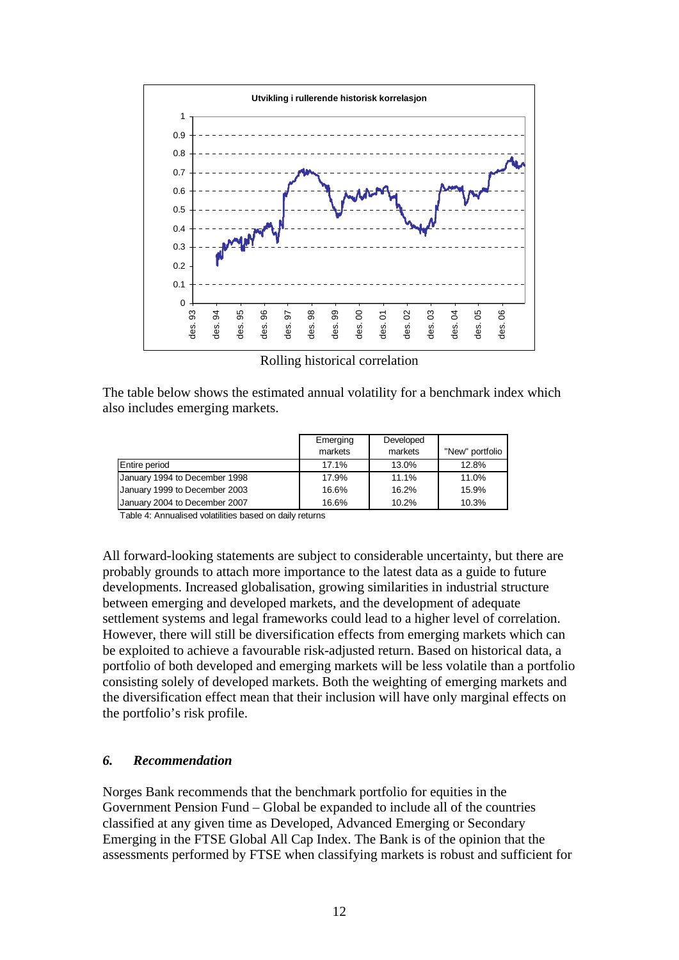

Rolling historical correlation

The table below shows the estimated annual volatility for a benchmark index which also includes emerging markets.

|                               | Emerging<br>markets | Developed<br>markets | "New" portfolio |
|-------------------------------|---------------------|----------------------|-----------------|
| <b>Entire period</b>          | 17.1%               | 13.0%                | 12.8%           |
| January 1994 to December 1998 | 17.9%               | 11.1%                | 11.0%           |
| January 1999 to December 2003 | 16.6%               | 16.2%                | 15.9%           |
| January 2004 to December 2007 | 16.6%               | 10.2%                | 10.3%           |

Table 4: Annualised volatilities based on daily returns

All forward-looking statements are subject to considerable uncertainty, but there are probably grounds to attach more importance to the latest data as a guide to future developments. Increased globalisation, growing similarities in industrial structure between emerging and developed markets, and the development of adequate settlement systems and legal frameworks could lead to a higher level of correlation. However, there will still be diversification effects from emerging markets which can be exploited to achieve a favourable risk-adjusted return. Based on historical data, a portfolio of both developed and emerging markets will be less volatile than a portfolio consisting solely of developed markets. Both the weighting of emerging markets and the diversification effect mean that their inclusion will have only marginal effects on the portfolio's risk profile.

## *6. Recommendation*

Norges Bank recommends that the benchmark portfolio for equities in the Government Pension Fund – Global be expanded to include all of the countries classified at any given time as Developed, Advanced Emerging or Secondary Emerging in the FTSE Global All Cap Index. The Bank is of the opinion that the assessments performed by FTSE when classifying markets is robust and sufficient for